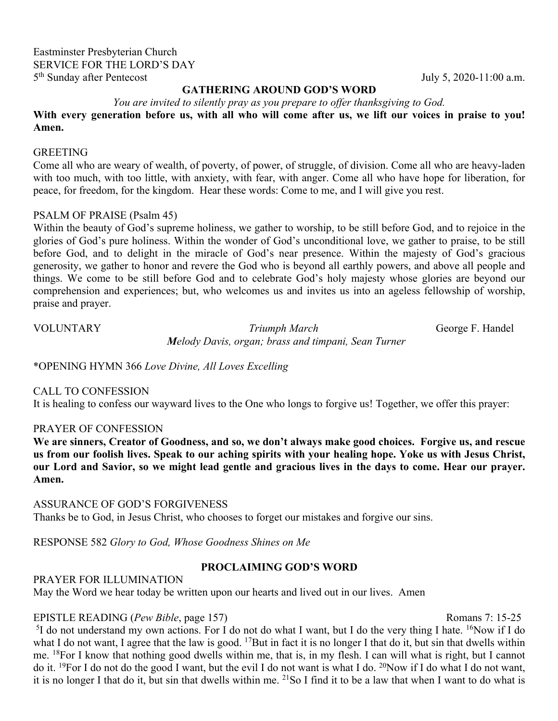# Eastminster Presbyterian Church SERVICE FOR THE LORD'S DAY 5<sup>th</sup> Sunday after Pentecost July 5, 2020-11:00 a.m.

# **GATHERING AROUND GOD'S WORD**

*You are invited to silently pray as you prepare to offer thanksgiving to God.* 

**With every generation before us, with all who will come after us, we lift our voices in praise to you! Amen.** 

#### **GREETING**

Come all who are weary of wealth, of poverty, of power, of struggle, of division. Come all who are heavy-laden with too much, with too little, with anxiety, with fear, with anger. Come all who have hope for liberation, for peace, for freedom, for the kingdom. Hear these words: Come to me, and I will give you rest.

# PSALM OF PRAISE (Psalm 45)

Within the beauty of God's supreme holiness, we gather to worship, to be still before God, and to rejoice in the glories of God's pure holiness. Within the wonder of God's unconditional love, we gather to praise, to be still before God, and to delight in the miracle of God's near presence. Within the majesty of God's gracious generosity, we gather to honor and revere the God who is beyond all earthly powers, and above all people and things. We come to be still before God and to celebrate God's holy majesty whose glories are beyond our comprehension and experiences; but, who welcomes us and invites us into an ageless fellowship of worship, praise and prayer.

VOLUNTARY *Triumph March* George F. Handel  *Melody Davis, organ; brass and timpani, Sean Turner*

\*OPENING HYMN 366 *Love Divine, All Loves Excelling*

#### CALL TO CONFESSION

It is healing to confess our wayward lives to the One who longs to forgive us! Together, we offer this prayer:

#### PRAYER OF CONFESSION

**We are sinners, Creator of Goodness, and so, we don't always make good choices. Forgive us, and rescue us from our foolish lives. Speak to our aching spirits with your healing hope. Yoke us with Jesus Christ, our Lord and Savior, so we might lead gentle and gracious lives in the days to come. Hear our prayer. Amen.** 

ASSURANCE OF GOD'S FORGIVENESS Thanks be to God, in Jesus Christ, who chooses to forget our mistakes and forgive our sins.

RESPONSE 582 *Glory to God, Whose Goodness Shines on Me*

# **PROCLAIMING GOD'S WORD**

#### PRAYER FOR ILLUMINATION

May the Word we hear today be written upon our hearts and lived out in our lives. Amen

# EPISTLE READING (*Pew Bible*, page 157) Romans 7: 15-25

<sup>5</sup>I do not understand my own actions. For I do not do what I want, but I do the very thing I hate. <sup>16</sup>Now if I do what I do not want, I agree that the law is good. <sup>17</sup>But in fact it is no longer I that do it, but sin that dwells within me. <sup>18</sup>For I know that nothing good dwells within me, that is, in my flesh. I can will what is right, but I cannot do it. 19For I do not do the good I want, but the evil I do not want is what I do. 20Now if I do what I do not want, it is no longer I that do it, but sin that dwells within me. 21So I find it to be a law that when I want to do what is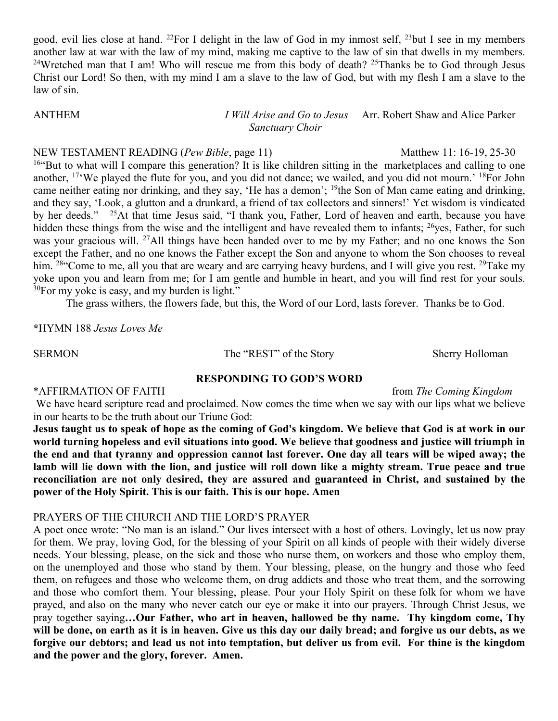good, evil lies close at hand. <sup>22</sup>For I delight in the law of God in my inmost self, <sup>23</sup>but I see in my members another law at war with the law of my mind, making me captive to the law of sin that dwells in my members. <sup>24</sup>Wretched man that I am! Who will rescue me from this body of death? <sup>25</sup>Thanks be to God through Jesus Christ our Lord! So then, with my mind I am a slave to the law of God, but with my flesh I am a slave to the law of sin.

# ANTHEM *I Will Arise and Go to Jesus* Arr. Robert Shaw and Alice Parker  *Sanctuary Choir*

NEW TESTAMENT READING (*Pew Bible*, page 11) Matthew 11: 16-19, 25-30 <sup>16"</sup>But to what will I compare this generation? It is like children sitting in the marketplaces and calling to one another, 17'We played the flute for you, and you did not dance; we wailed, and you did not mourn.' 18For John came neither eating nor drinking, and they say, 'He has a demon'; 19the Son of Man came eating and drinking, and they say, 'Look, a glutton and a drunkard, a friend of tax collectors and sinners!' Yet wisdom is vindicated by her deeds." 25At that time Jesus said, "I thank you, Father, Lord of heaven and earth, because you have hidden these things from the wise and the intelligent and have revealed them to infants; <sup>26</sup>yes, Father, for such was your gracious will. 27All things have been handed over to me by my Father; and no one knows the Son except the Father, and no one knows the Father except the Son and anyone to whom the Son chooses to reveal him. <sup>28"</sup>Come to me, all you that are weary and are carrying heavy burdens, and I will give you rest. <sup>29</sup>Take my yoke upon you and learn from me; for I am gentle and humble in heart, and you will find rest for your souls.  $30$ For my yoke is easy, and my burden is light."

The grass withers, the flowers fade, but this, the Word of our Lord, lasts forever. Thanks be to God.

**\***HYMN 188 *Jesus Loves Me*

SERMON The "REST" of the Story Sherry Holloman

#### **RESPONDING TO GOD'S WORD**

\*AFFIRMATION OF FAITH **from** *The Coming Kingdom* 

We have heard scripture read and proclaimed. Now comes the time when we say with our lips what we believe in our hearts to be the truth about our Triune God:

**Jesus taught us to speak of hope as the coming of God's kingdom. We believe that God is at work in our world turning hopeless and evil situations into good. We believe that goodness and justice will triumph in the end and that tyranny and oppression cannot last forever. One day all tears will be wiped away; the lamb will lie down with the lion, and justice will roll down like a mighty stream. True peace and true reconciliation are not only desired, they are assured and guaranteed in Christ, and sustained by the power of the Holy Spirit. This is our faith. This is our hope. Amen**

# PRAYERS OF THE CHURCH AND THE LORD'S PRAYER

A poet once wrote: "No man is an island." Our lives intersect with a host of others. Lovingly, let us now pray for them. We pray, loving God, for the blessing of your Spirit on all kinds of people with their widely diverse needs. Your blessing, please, on the sick and those who nurse them, on workers and those who employ them, on the unemployed and those who stand by them. Your blessing, please, on the hungry and those who feed them, on refugees and those who welcome them, on drug addicts and those who treat them, and the sorrowing and those who comfort them. Your blessing, please. Pour your Holy Spirit on these folk for whom we have prayed, and also on the many who never catch our eye or make it into our prayers. Through Christ Jesus, we pray together saying**…Our Father, who art in heaven, hallowed be thy name. Thy kingdom come, Thy will be done, on earth as it is in heaven. Give us this day our daily bread; and forgive us our debts, as we forgive our debtors; and lead us not into temptation, but deliver us from evil. For thine is the kingdom and the power and the glory, forever. Amen.**